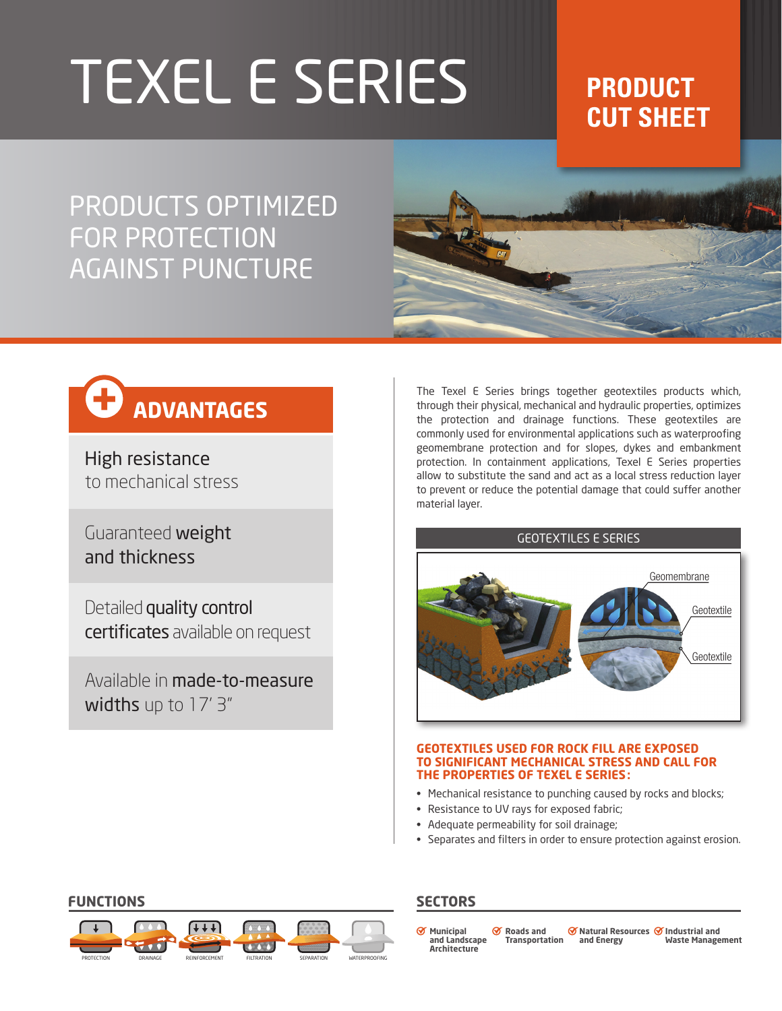# TEXEL E SERIES **PRODUCT**

## **CUT SHEET**

PRODUCTS OPTIMIZED FOR PROTECTION AGAINST PUNCTURE



## **ADVANTAGES**

High resistance to mechanical stress

Guaranteed weight and thickness

Detailed quality control certificates available on request

Available in made-to-measure widths up to 17' 3"

The Texel E Series brings together geotextiles products which, through their physical, mechanical and hydraulic properties, optimizes the protection and drainage functions. These geotextiles are commonly used for environmental applications such as waterproofing geomembrane protection and for slopes, dykes and embankment protection. In containment applications, Texel E Series properties allow to substitute the sand and act as a local stress reduction layer to prevent or reduce the potential damage that could suffer another material layer.

## GEOTEXTILES E SERIES



### **GEOTEXTILES USED FOR ROCK FILL ARE EXPOSED TO SIGNIFICANT MECHANICAL STRESS AND CALL FOR THE PROPERTIES OF TEXEL E SERIES:**

- Mechanical resistance to punching caused by rocks and blocks;
- Resistance to UV rays for exposed fabric;
- Adequate permeability for soil drainage;
- Separates and filters in order to ensure protection against erosion.



**Municipal and Landscape Architecture Roads and Transportation Industrial and Natural Resources Waste Management and Energy**